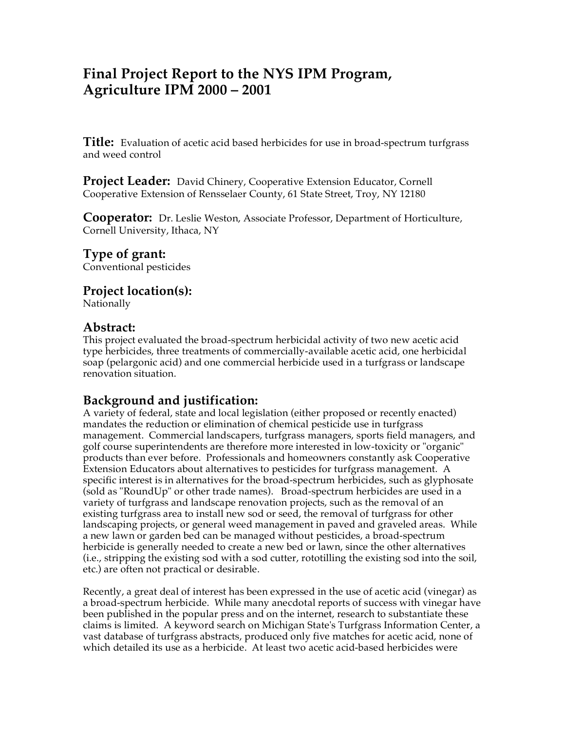# **Final Project Report to the NYS IPM Program, Agriculture IPM 2000 – 2001**

**Title:** Evaluation of acetic acid based herbicides for use in broad-spectrum turfgrass and weed control

Project Leader: David Chinery, Cooperative Extension Educator, Cornell Cooperative Extension of Rensselaer County, 61 State Street, Troy, NY 12180

**Cooperator:** Dr. Leslie Weston, Associate Professor, Department of Horticulture, Cornell University, Ithaca, NY

**Type of grant:**

Conventional pesticides

**Project location(s):** Nationally

## **Abstract:**

This project evaluated the broad-spectrum herbicidal activity of two new acetic acid type herbicides, three treatments of commercially-available acetic acid, one herbicidal soap (pelargonic acid) and one commercial herbicide used in a turfgrass or landscape renovation situation.

## **Background and justification:**

A variety of federal, state and local legislation (either proposed or recently enacted) mandates the reduction or elimination of chemical pesticide use in turfgrass management. Commercial landscapers, turfgrass managers, sports field managers, and golf course superintendents are therefore more interested in low-toxicity or "organic" products than ever before. Professionals and homeowners constantly ask Cooperative Extension Educators about alternatives to pesticides for turfgrass management. A specific interest is in alternatives for the broad-spectrum herbicides, such as glyphosate (sold as "RoundUp" or other trade names). Broad-spectrum herbicides are used in a variety of turfgrass and landscape renovation projects, such as the removal of an existing turfgrass area to install new sod or seed, the removal of turfgrass for other landscaping projects, or general weed management in paved and graveled areas. While a new lawn or garden bed can be managed without pesticides, a broad-spectrum herbicide is generally needed to create a new bed or lawn, since the other alternatives (i.e., stripping the existing sod with a sod cutter, rototilling the existing sod into the soil, etc.) are often not practical or desirable.

Recently, a great deal of interest has been expressed in the use of acetic acid (vinegar) as a broad-spectrum herbicide. While many anecdotal reports of success with vinegar have been published in the popular press and on the internet, research to substantiate these claims is limited. A keyword search on Michigan State's Turfgrass Information Center, a vast database of turfgrass abstracts, produced only five matches for acetic acid, none of which detailed its use as a herbicide. At least two acetic acid-based herbicides were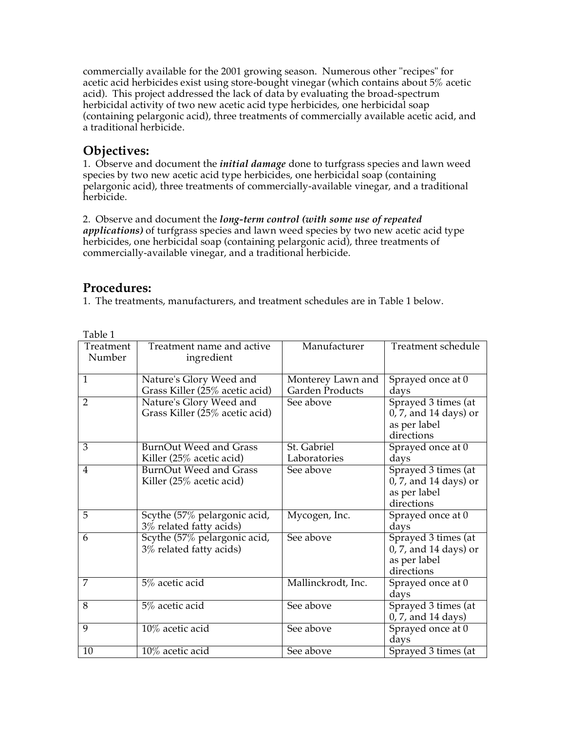commercially available for the 2001 growing season. Numerous other "recipes" for acetic acid herbicides exist using store-bought vinegar (which contains about 5% acetic acid). This project addressed the lack of data by evaluating the broad-spectrum herbicidal activity of two new acetic acid type herbicides, one herbicidal soap (containing pelargonic acid), three treatments of commercially available acetic acid, and a traditional herbicide.

## **Objectives:**

1. Observe and document the *initial damage* done to turfgrass species and lawn weed species by two new acetic acid type herbicides, one herbicidal soap (containing pelargonic acid), three treatments of commercially-available vinegar, and a traditional herbicide.

2. Observe and document the *long-term control (with some use of repeated applications)* of turfgrass species and lawn weed species by two new acetic acid type herbicides, one herbicidal soap (containing pelargonic acid), three treatments of commercially-available vinegar, and a traditional herbicide.

## **Procedures:**

1. The treatments, manufacturers, and treatment schedules are in Table 1 below.

| ravic r        |                                |                    |                                   |
|----------------|--------------------------------|--------------------|-----------------------------------|
| Treatment      | Treatment name and active      | Manufacturer       | Treatment schedule                |
| Number         | ingredient                     |                    |                                   |
|                |                                |                    |                                   |
| $\mathbf{1}$   | Nature's Glory Weed and        | Monterey Lawn and  | Sprayed once at 0                 |
|                | Grass Killer (25% acetic acid) | Garden Products    | days                              |
| 2              | Nature's Glory Weed and        | See above          | Sprayed 3 times (at               |
|                | Grass Killer (25% acetic acid) |                    | 0, 7, and 14 days) or             |
|                |                                |                    | as per label                      |
|                |                                |                    | directions                        |
| $\overline{3}$ | <b>BurnOut Weed and Grass</b>  | St. Gabriel        | Sprayed once at 0                 |
|                | Killer (25% acetic acid)       | Laboratories       | days                              |
| $\overline{4}$ | <b>BurnOut Weed and Grass</b>  | See above          | Sprayed 3 times (at               |
|                | Killer (25% acetic acid)       |                    | 0, 7, and 14 days) or             |
|                |                                |                    | as per label                      |
|                |                                |                    | directions                        |
| $\overline{5}$ | Scythe (57% pelargonic acid,   | Mycogen, Inc.      | Sprayed once at 0                 |
|                | 3% related fatty acids)        |                    | days                              |
| 6              | Scythe (57% pelargonic acid,   | See above          | Sprayed 3 times (at               |
|                | 3% related fatty acids)        |                    | 0, 7, and 14 days) or             |
|                |                                |                    | as per label                      |
|                |                                |                    | directions                        |
| 7              | 5% acetic acid                 | Mallinckrodt, Inc. | Sprayed once at 0                 |
|                |                                |                    | days                              |
| $\overline{8}$ | 5% acetic acid                 | See above          | Sprayed 3 times (at               |
|                |                                |                    | 0, 7, and 14 days)                |
| $\overline{9}$ | 10% acetic acid                | See above          | Sprayed once at 0                 |
|                |                                |                    | days                              |
| 10             | 10% acetic acid                | See above          | Sprayed 3 times $\overline{(at)}$ |

Table 1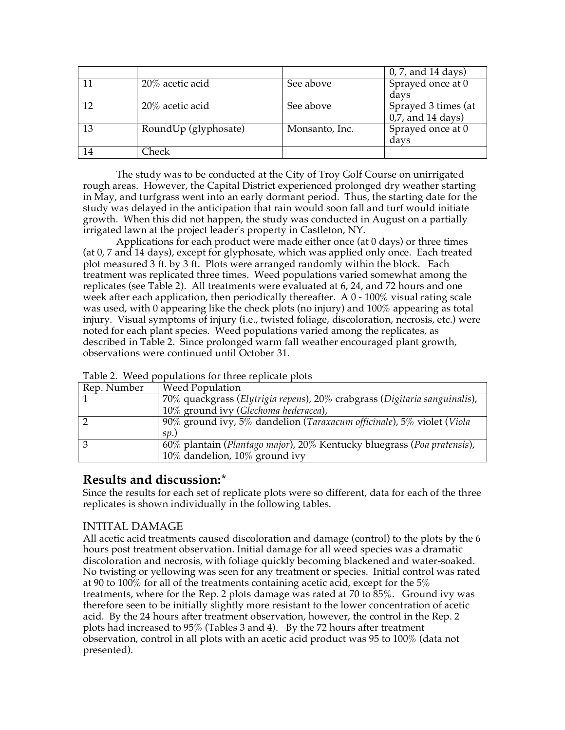|    |                                          |                | 0, 7, and 14 days)   |
|----|------------------------------------------|----------------|----------------------|
|    | 20% acetic acid                          | See above      | Sprayed once at 0    |
|    |                                          |                | davs                 |
| 12 | 20% acetic acid                          | See above      | Sprayed 3 times (at  |
|    |                                          |                | $0,7$ , and 14 days) |
| 13 | $\overline{\text{RoundUp}}$ (glyphosate) | Monsanto, Inc. | Sprayed once at $0$  |
|    |                                          |                | days                 |
| 14 | 'heck                                    |                |                      |

The study was to be conducted at the City of Troy Golf Course on unirrigated rough areas. However, the Capital District experienced prolonged dry weather starting in May, and turfgrass went into an early dormant period. Thus, the starting date for the study was delayed in the anticipation that rain would soon fall and turf would initiate growth. When this did not happen, the study was conducted in August on a partially irrigated lawn at the project leader's property in Castleton, NY.

Applications for each product were made either once (at 0 days) or three times (at 0, 7 and 14 days), except for glyphosate, which was applied only once. Each treated plot measured 3 ft. by 3 ft. Plots were arranged randomly within the block. Each treatment was replicated three times. Weed populations varied somewhat among the replicates (see Table 2). All treatments were evaluated at 6, 24, and 72 hours and one week after each application, then periodically thereafter. A  $0 - 100\%$  visual rating scale was used, with 0 appearing like the check plots (no injury) and 100% appearing as total injury. Visual symptoms of injury (i.e., twisted foliage, discoloration, necrosis, etc.) were noted for each plant species. Weed populations varied among the replicates, as described in Table 2. Since prolonged warm fall weather encouraged plant growth, observations were continued until October 31.

| Rep. Number | <b>Weed Population</b>                                                    |
|-------------|---------------------------------------------------------------------------|
|             | 70% quackgrass (Elytrigia repens), 20% crabgrass (Digitaria sanguinalis), |
|             | 10% ground ivy (Glechoma hederacea),                                      |
|             | 90% ground ivy, 5% dandelion (Taraxacum officinale), 5% violet (Viola     |
|             | SD.                                                                       |
| റ           | 60% plantain (Plantago major), 20% Kentucky bluegrass (Poa pratensis),    |
|             | 10% dandelion, 10% ground ivy                                             |

| Table 2. Weed populations for three replicate plots |  |
|-----------------------------------------------------|--|
|-----------------------------------------------------|--|

## **Results and discussion:\***

Since the results for each set of replicate plots were so different, data for each of the three replicates is shown individually in the following tables.

### INTITAL DAMAGE

All acetic acid treatments caused discoloration and damage (control) to the plots by the 6 hours post treatment observation. Initial damage for all weed species was a dramatic discoloration and necrosis, with foliage quickly becoming blackened and water-soaked. No twisting or yellowing was seen for any treatment or species. Initial control was rated at 90 to 100% for all of the treatments containing acetic acid, except for the 5% treatments, where for the Rep. 2 plots damage was rated at 70 to 85%. Ground ivy was therefore seen to be initially slightly more resistant to the lower concentration of acetic acid. By the 24 hours after treatment observation, however, the control in the Rep. 2 plots had increased to 95% (Tables 3 and 4). By the 72 hours after treatment observation, control in all plots with an acetic acid product was 95 to 100% (data not presented).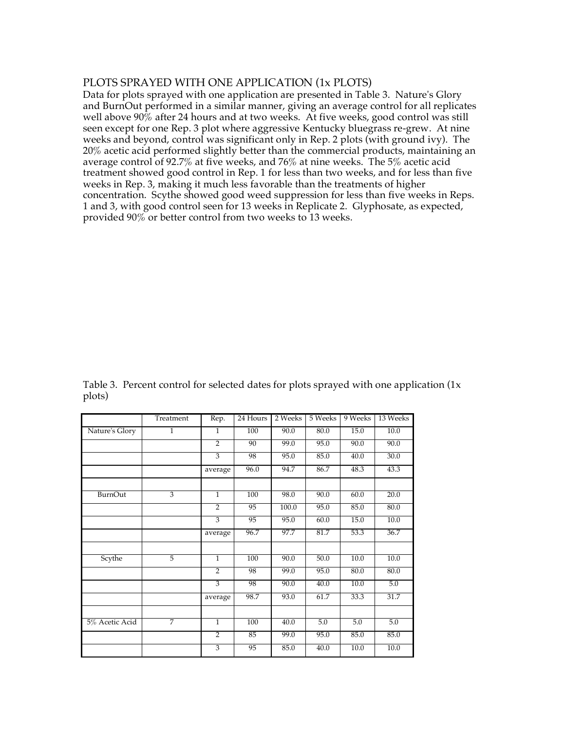### PLOTS SPRAYED WITH ONE APPLICATION (1x PLOTS)

Data for plots sprayed with one application are presented in Table 3. Nature's Glory and BurnOut performed in a similar manner, giving an average control for all replicates well above  $90\%$  after 24 hours and at two weeks. At five weeks, good control was still seen except for one Rep. 3 plot where aggressive Kentucky bluegrass re-grew. At nine weeks and beyond, control was significant only in Rep. 2 plots (with ground ivy). The 20% acetic acid performed slightly better than the commercial products, maintaining an average control of 92.7% at five weeks, and 76% at nine weeks. The 5% acetic acid treatment showed good control in Rep. 1 for less than two weeks, and for less than five weeks in Rep. 3, making it much less favorable than the treatments of higher concentration. Scythe showed good weed suppression for less than five weeks in Reps. 1 and 3, with good control seen for 13 weeks in Replicate 2. Glyphosate, as expected, provided 90% or better control from two weeks to 13 weeks.

|                | Treatment      | Rep.           | 24 Hours | 2 Weeks | 5 Weeks | 9 Weeks | 13 Weeks |
|----------------|----------------|----------------|----------|---------|---------|---------|----------|
| Nature's Glory | 1              | 1              | 100      | 90.0    | 80.0    | 15.0    | 10.0     |
|                |                | $\overline{2}$ | 90       | 99.0    | 95.0    | 90.0    | 90.0     |
|                |                | $\overline{3}$ | 98       | 95.0    | 85.0    | 40.0    | 30.0     |
|                |                | average        | 96.0     | 94.7    | 86.7    | 48.3    | 43.3     |
|                |                |                |          |         |         |         |          |
| <b>BurnOut</b> | 3              | $\mathbf{1}$   | 100      | 98.0    | 90.0    | 60.0    | 20.0     |
|                |                | $\overline{2}$ | 95       | 100.0   | 95.0    | 85.0    | 80.0     |
|                |                | 3              | 95       | 95.0    | 60.0    | 15.0    | 10.0     |
|                |                | average        | 96.7     | 97.7    | 81.7    | 53.3    | 36.7     |
|                |                |                |          |         |         |         |          |
| Scythe         | $\overline{5}$ | $\mathbf{1}$   | 100      | 90.0    | 50.0    | 10.0    | 10.0     |
|                |                | $\overline{2}$ | 98       | 99.0    | 95.0    | 80.0    | 80.0     |
|                |                | 3              | 98       | 90.0    | 40.0    | 10.0    | 5.0      |
|                |                | average        | 98.7     | 93.0    | 61.7    | 33.3    | 31.7     |
|                |                |                |          |         |         |         |          |
| 5% Acetic Acid | 7              | $\overline{1}$ | 100      | 40.0    | 5.0     | 5.0     | 5.0      |
|                |                | $\overline{2}$ | 85       | 99.0    | 95.0    | 85.0    | 85.0     |
|                |                | $\overline{3}$ | 95       | 85.0    | 40.0    | 10.0    | 10.0     |

Table 3. Percent control for selected dates for plots sprayed with one application (1x plots)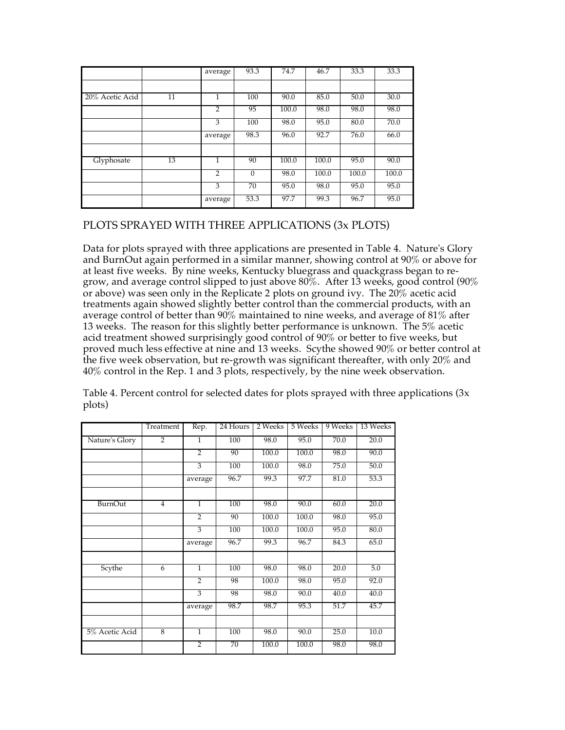|                 |    | average        | 93.3     | 74.7  | 46.7  | 33.3  | 33.3  |
|-----------------|----|----------------|----------|-------|-------|-------|-------|
|                 |    |                |          |       |       |       |       |
| 20% Acetic Acid | 11 |                | 100      | 90.0  | 85.0  | 50.0  | 30.0  |
|                 |    | $\overline{2}$ | 95       | 100.0 | 98.0  | 98.0  | 98.0  |
|                 |    | 3              | 100      | 98.0  | 95.0  | 80.0  | 70.0  |
|                 |    | average        | 98.3     | 96.0  | 92.7  | 76.0  | 66.0  |
|                 |    |                |          |       |       |       |       |
| Glyphosate      | 13 |                | 90       | 100.0 | 100.0 | 95.0  | 90.0  |
|                 |    | $\overline{2}$ | $\Omega$ | 98.0  | 100.0 | 100.0 | 100.0 |
|                 |    | 3              | 70       | 95.0  | 98.0  | 95.0  | 95.0  |
|                 |    | average        | 53.3     | 97.7  | 99.3  | 96.7  | 95.0  |

## PLOTS SPRAYED WITH THREE APPLICATIONS (3x PLOTS)

Data for plots sprayed with three applications are presented in Table 4. Nature's Glory and BurnOut again performed in a similar manner, showing control at 90% or above for at least five weeks. By nine weeks, Kentucky bluegrass and quackgrass began to regrow, and average control slipped to just above  $80\%$ . After 13 weeks, good control (90%) or above) was seen only in the Replicate 2 plots on ground ivy. The 20% acetic acid treatments again showed slightly better control than the commercial products, with an average control of better than 90% maintained to nine weeks, and average of 81% after 13 weeks. The reason for this slightly better performance is unknown. The 5% acetic acid treatment showed surprisingly good control of 90% or better to five weeks, but proved much less effective at nine and 13 weeks. Scythe showed 90% or better control at the five week observation, but re-growth was significant thereafter, with only 20% and 40% control in the Rep. 1 and 3 plots, respectively, by the nine week observation.

|                | Treatment      | Rep.           | 24 Hours | 2 Weeks | 5 Weeks | 9 Weeks | 13 Weeks |
|----------------|----------------|----------------|----------|---------|---------|---------|----------|
| Nature's Glory | $\overline{2}$ | $\mathbf{1}$   | 100      | 98.0    | 95.0    | 70.0    | 20.0     |
|                |                | $\overline{2}$ | 90       | 100.0   | 100.0   | 98.0    | 90.0     |
|                |                | 3              | 100      | 100.0   | 98.0    | 75.0    | 50.0     |
|                |                | average        | 96.7     | 99.3    | 97.7    | 81.0    | 53.3     |
|                |                |                |          |         |         |         |          |
| BurnOut        | $\overline{4}$ | $\mathbf{1}$   | 100      | 98.0    | 90.0    | 60.0    | 20.0     |
|                |                | $\overline{2}$ | 90       | 100.0   | 100.0   | 98.0    | 95.0     |
|                |                | $\overline{3}$ | 100      | 100.0   | 100.0   | 95.0    | 80.0     |
|                |                | average        | 96.7     | 99.3    | 96.7    | 84.3    | 65.0     |
|                |                |                |          |         |         |         |          |
| Scythe         | 6              | $\mathbf{1}$   | 100      | 98.0    | 98.0    | 20.0    | 5.0      |
|                |                | $\overline{2}$ | 98       | 100.0   | 98.0    | 95.0    | 92.0     |
|                |                | 3              | 98       | 98.0    | 90.0    | 40.0    | 40.0     |
|                |                | average        | 98.7     | 98.7    | 95.3    | 51.7    | 45.7     |
|                |                |                |          |         |         |         |          |
| 5% Acetic Acid | 8              | $\mathbf{1}$   | 100      | 98.0    | 90.0    | 25.0    | 10.0     |
|                |                | $\overline{2}$ | 70       | 100.0   | 100.0   | 98.0    | 98.0     |

Table 4. Percent control for selected dates for plots sprayed with three applications  $(3x)$ plots)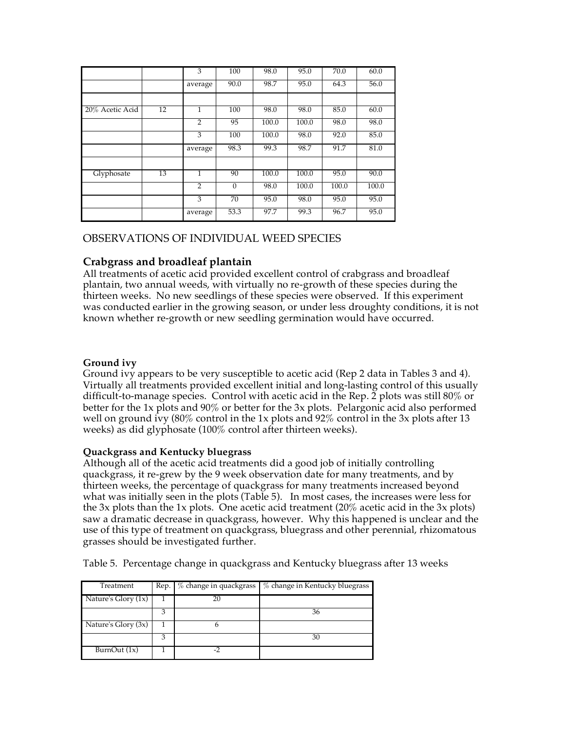|                 |                 | 3              | 100      | 98.0  | 95.0  | 70.0  | 60.0  |
|-----------------|-----------------|----------------|----------|-------|-------|-------|-------|
|                 |                 |                |          |       |       |       |       |
|                 |                 | average        | 90.0     | 98.7  | 95.0  | 64.3  | 56.0  |
|                 |                 |                |          |       |       |       |       |
|                 |                 |                |          |       |       |       |       |
| 20% Acetic Acid | $\overline{12}$ | 1              | 100      | 98.0  | 98.0  | 85.0  | 60.0  |
|                 |                 |                |          |       |       |       |       |
|                 |                 | $\overline{2}$ | 95       | 100.0 | 100.0 | 98.0  | 98.0  |
|                 |                 | 3              | 100      | 100.0 | 98.0  | 92.0  | 85.0  |
|                 |                 |                |          |       |       |       |       |
|                 |                 | average        | 98.3     | 99.3  | 98.7  | 91.7  | 81.0  |
|                 |                 |                |          |       |       |       |       |
|                 |                 |                |          |       |       |       |       |
| Glyphosate      | 13              | $\mathbf{1}$   | 90       | 100.0 | 100.0 | 95.0  | 90.0  |
|                 |                 | $\overline{2}$ | $\theta$ | 98.0  | 100.0 | 100.0 | 100.0 |
|                 |                 |                |          |       |       |       |       |
|                 |                 | 3              | 70       | 95.0  | 98.0  | 95.0  | 95.0  |
|                 |                 | average        | 53.3     | 97.7  | 99.3  | 96.7  | 95.0  |

## OBSERVATIONS OF INDIVIDUAL WEED SPECIES

### **Crabgrass and broadleaf plantain**

All treatments of acetic acid provided excellent control of crabgrass and broadleaf plantain, two annual weeds, with virtually no re-growth of these species during the thirteen weeks. No new seedlings of these species were observed. If this experiment was conducted earlier in the growing season, or under less droughty conditions, it is not known whether re-growth or new seedling germination would have occurred.

### **Ground ivy**

Ground ivy appears to be very susceptible to acetic acid (Rep 2 data in Tables 3 and 4). Virtually all treatments provided excellent initial and long-lasting control of this usually difficult-to-manage species. Control with acetic acid in the Rep. 2 plots was still 80% or better for the 1x plots and 90% or better for the 3x plots. Pelargonic acid also performed well on ground ivy  $(80\% \text{ control in the 1x plots and } 92\% \text{ control in the 3x plots after 13})$ weeks) as did glyphosate (100% control after thirteen weeks).

#### **Quackgrass and Kentucky bluegrass**

Although all of the acetic acid treatments did a good job of initially controlling quackgrass, it re-grew by the 9 week observation date for many treatments, and by thirteen weeks, the percentage of quackgrass for many treatments increased beyond what was initially seen in the plots (Table 5). In most cases, the increases were less for the 3x plots than the 1x plots. One acetic acid treatment  $(20\% \text{ acetic acid in the 3x plots})$ saw a dramatic decrease in quackgrass, however. Why this happened is unclear and the use of this type of treatment on quackgrass, bluegrass and other perennial, rhizomatous grasses should be investigated further.

Table 5. Percentage change in quackgrass and Kentucky bluegrass after 13 weeks

| Treatment             | Rep. | % change in quackgrass | % change in Kentucky bluegrass |
|-----------------------|------|------------------------|--------------------------------|
| Nature's Glory $(1x)$ |      | 20                     |                                |
|                       |      |                        | 36                             |
| Nature's Glory (3x)   |      |                        |                                |
|                       |      |                        | 30                             |
| BurnOut $(1x)$        |      |                        |                                |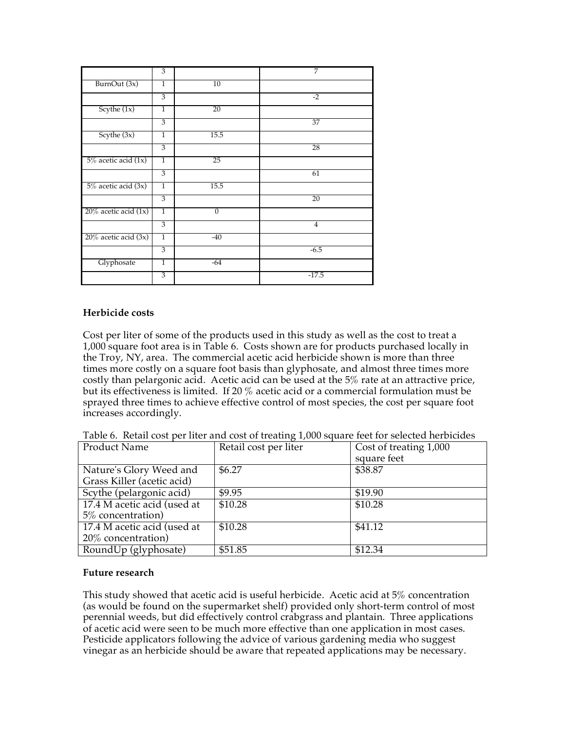|                           | 3              |                | 7              |
|---------------------------|----------------|----------------|----------------|
| BurnOut (3x)              | $\mathbf{1}$   | 10             |                |
|                           | 3              |                | $-2$           |
| Scythe $(1x)$             | $\overline{1}$ | 20             |                |
|                           | 3              |                | 37             |
| Scythe (3x)               | $\overline{1}$ | 15.5           |                |
|                           | $\overline{3}$ |                | 28             |
| $5\%$ acetic acid $(1x)$  | 1              | 25             |                |
|                           | 3              |                | 61             |
| 5% acetic acid (3x)       | $\overline{1}$ | 15.5           |                |
|                           | 3              |                | 20             |
| $20\%$ acetic acid $(1x)$ | $\overline{1}$ | $\overline{0}$ |                |
|                           | $\overline{3}$ |                | $\overline{4}$ |
| $20\%$ acetic acid $(3x)$ | $\mathbf{1}$   | $-40$          |                |
|                           | 3              |                | $-6.5$         |
| Glyphosate                | $\overline{1}$ | -64            |                |
|                           | 3              |                | $-17.5$        |

#### **Herbicide costs**

Cost per liter of some of the products used in this study as well as the cost to treat a 1,000 square foot area is in Table 6. Costs shown are for products purchased locally in the Troy, NY, area. The commercial acetic acid herbicide shown is more than three times more costly on a square foot basis than glyphosate, and almost three times more costly than pelargonic acid. Acetic acid can be used at the 5% rate at an attractive price, but its effectiveness is limited. If 20 % acetic acid or a commercial formulation must be sprayed three times to achieve effective control of most species, the cost per square foot increases accordingly.

|  |  |  | Table 6. Retail cost per liter and cost of treating 1,000 square feet for selected herbicides |
|--|--|--|-----------------------------------------------------------------------------------------------|
|  |  |  |                                                                                               |

| <b>Product Name</b>         | Retail cost per liter | Cost of treating 1,000 |
|-----------------------------|-----------------------|------------------------|
|                             |                       | square feet            |
| Nature's Glory Weed and     | \$6.27                | \$38.87                |
| Grass Killer (acetic acid)  |                       |                        |
| Scythe (pelargonic acid)    | \$9.95                | \$19.90                |
| 17.4 M acetic acid (used at | \$10.28               | \$10.28                |
| 5\% concentration)          |                       |                        |
| 17.4 M acetic acid (used at | \$10.28               | \$41.12                |
| 20% concentration)          |                       |                        |
| RoundUp (glyphosate)        | \$51.85               | \$12.34                |

#### **Future research**

This study showed that acetic acid is useful herbicide. Acetic acid at 5% concentration (as would be found on the supermarket shelf) provided only short-term control of most perennial weeds, but did effectively control crabgrass and plantain. Three applications of acetic acid were seen to be much more effective than one application in most cases. Pesticide applicators following the advice of various gardening media who suggest vinegar as an herbicide should be aware that repeated applications may be necessary.